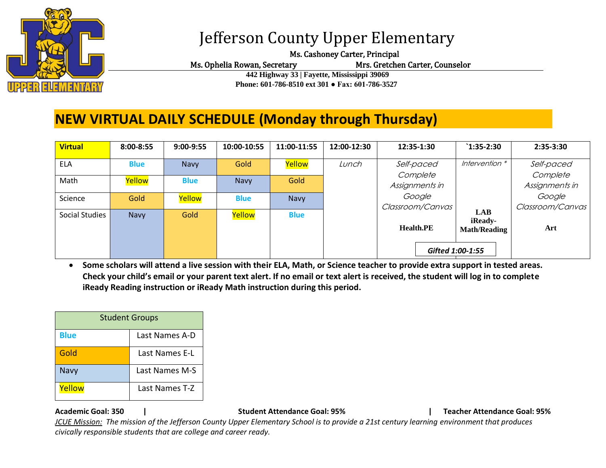

# Jefferson County Upper Elementary

Ms. Cashoney Carter, Principal

Ms. Ophelia Rowan, Secretary Mrs. Gretchen Carter, Counselor

 **442 Highway 33 | Fayette, Mississippi 39069 Phone: 601-786-8510 ext 301 ● Fax: 601-786-3527**

## **NEW VIRTUAL DAILY SCHEDULE (Monday through Thursday)**

| <b>Virtual</b> | 8:00-8:55   | 9:00-9:55   | 10:00-10:55 | 11:00-11:55 | 12:00-12:30 | 12:35-1:30                 | $`1:35-2:30$                                 | 2:35-3:30                  |
|----------------|-------------|-------------|-------------|-------------|-------------|----------------------------|----------------------------------------------|----------------------------|
| <b>ELA</b>     | <b>Blue</b> | <b>Navy</b> | Gold        | Yellow      | Lunch       | Self-paced                 | Intervention *                               | Self-paced                 |
| Math           | Yellow      | <b>Blue</b> | Navy        | Gold        |             | Complete<br>Assignments in |                                              | Complete<br>Assignments in |
| Science        | Gold        | Yellow      | <b>Blue</b> | Navy        |             | Google<br>Classroom/Canvas |                                              | Google<br>Classroom/Canvas |
| Social Studies | Navy        | Gold        | Yellow      | <b>Blue</b> |             | <b>Health.PE</b>           | <b>LAB</b><br>iReady-<br><b>Math/Reading</b> | Art                        |
|                |             |             |             |             |             | Gifted 1:00-1:55           |                                              |                            |

• **Some scholars will attend a live session with their ELA, Math, or Science teacher to provide extra support in tested areas. Check your child's email or your parent text alert. If no email or text alert is received, the student will log in to complete iReady Reading instruction or iReady Math instruction during this period.**

| <b>Student Groups</b> |                |  |  |  |  |
|-----------------------|----------------|--|--|--|--|
| <b>Blue</b>           | Last Names A-D |  |  |  |  |
| Gold                  | Last Names E-L |  |  |  |  |
| Navy                  | Last Names M-S |  |  |  |  |
| Yellow                | Last Names T-Z |  |  |  |  |

**Academic Goal: 350 | Student Attendance Goal: 95% | Teacher Attendance Goal: 95%** 

*JCUE Mission: The mission of the Jefferson County Upper Elementary School is to provide a 21st century learning environment that produces civically responsible students that are college and career ready.*